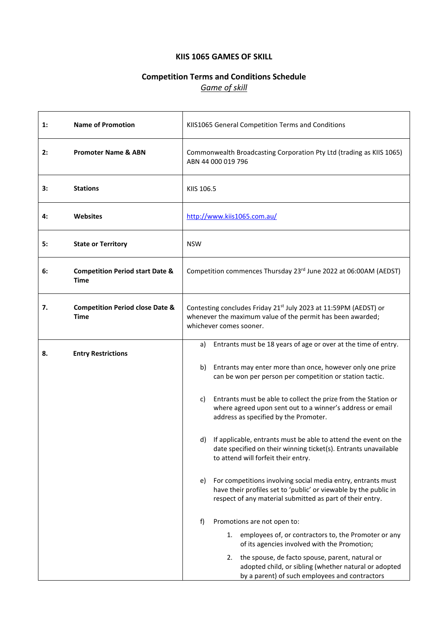# **KIIS 1065 GAMES OF SKILL**

# **Competition Terms and Conditions Schedule** *Game of skill*

| 1: | <b>Name of Promotion</b>                           | KIIS1065 General Competition Terms and Conditions                                                                                                                                                   |  |
|----|----------------------------------------------------|-----------------------------------------------------------------------------------------------------------------------------------------------------------------------------------------------------|--|
| 2: | <b>Promoter Name &amp; ABN</b>                     | Commonwealth Broadcasting Corporation Pty Ltd (trading as KIIS 1065)<br>ABN 44 000 019 796                                                                                                          |  |
| 3: | <b>Stations</b>                                    | KIIS 106.5                                                                                                                                                                                          |  |
| 4: | <b>Websites</b>                                    | http://www.kiis1065.com.au/                                                                                                                                                                         |  |
| 5: | <b>State or Territory</b>                          | <b>NSW</b>                                                                                                                                                                                          |  |
| 6: | <b>Competition Period start Date &amp;</b><br>Time | Competition commences Thursday 23 <sup>rd</sup> June 2022 at 06:00AM (AEDST)                                                                                                                        |  |
| 7. | <b>Competition Period close Date &amp;</b><br>Time | Contesting concludes Friday 21 <sup>st</sup> July 2023 at 11:59PM (AEDST) or<br>whenever the maximum value of the permit has been awarded;<br>whichever comes sooner.                               |  |
| 8. | <b>Entry Restrictions</b>                          | Entrants must be 18 years of age or over at the time of entry.<br>a)                                                                                                                                |  |
|    |                                                    | Entrants may enter more than once, however only one prize<br>b)<br>can be won per person per competition or station tactic.                                                                         |  |
|    |                                                    | Entrants must be able to collect the prize from the Station or<br>c)<br>where agreed upon sent out to a winner's address or email<br>address as specified by the Promoter.                          |  |
|    |                                                    | If applicable, entrants must be able to attend the event on the<br>d)<br>date specified on their winning ticket(s). Entrants unavailable<br>to attend will forfeit their entry.                     |  |
|    |                                                    | For competitions involving social media entry, entrants must<br>e)<br>have their profiles set to 'public' or viewable by the public in<br>respect of any material submitted as part of their entry. |  |
|    |                                                    | f)<br>Promotions are not open to:                                                                                                                                                                   |  |
|    |                                                    | employees of, or contractors to, the Promoter or any<br>1.<br>of its agencies involved with the Promotion;                                                                                          |  |
|    |                                                    | the spouse, de facto spouse, parent, natural or<br>2.<br>adopted child, or sibling (whether natural or adopted<br>by a parent) of such employees and contractors                                    |  |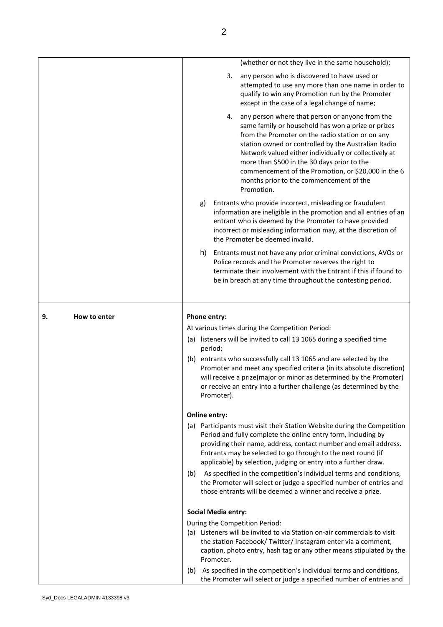|    |              |               |         |                            | (whether or not they live in the same household);                                                                                                                                                                                                                                                                                                                                                                                        |
|----|--------------|---------------|---------|----------------------------|------------------------------------------------------------------------------------------------------------------------------------------------------------------------------------------------------------------------------------------------------------------------------------------------------------------------------------------------------------------------------------------------------------------------------------------|
|    |              |               |         | 3.                         | any person who is discovered to have used or<br>attempted to use any more than one name in order to<br>qualify to win any Promotion run by the Promoter<br>except in the case of a legal change of name;                                                                                                                                                                                                                                 |
|    |              |               |         | 4.                         | any person where that person or anyone from the<br>same family or household has won a prize or prizes<br>from the Promoter on the radio station or on any<br>station owned or controlled by the Australian Radio<br>Network valued either individually or collectively at<br>more than \$500 in the 30 days prior to the<br>commencement of the Promotion, or \$20,000 in the 6<br>months prior to the commencement of the<br>Promotion. |
|    |              |               | g)      |                            | Entrants who provide incorrect, misleading or fraudulent<br>information are ineligible in the promotion and all entries of an<br>entrant who is deemed by the Promoter to have provided<br>incorrect or misleading information may, at the discretion of<br>the Promoter be deemed invalid.                                                                                                                                              |
|    |              |               | h)      |                            | Entrants must not have any prior criminal convictions, AVOs or<br>Police records and the Promoter reserves the right to<br>terminate their involvement with the Entrant if this if found to<br>be in breach at any time throughout the contesting period.                                                                                                                                                                                |
| 9. | How to enter | Phone entry:  |         |                            |                                                                                                                                                                                                                                                                                                                                                                                                                                          |
|    |              |               |         |                            | At various times during the Competition Period:                                                                                                                                                                                                                                                                                                                                                                                          |
|    |              |               |         |                            | (a) listeners will be invited to call 13 1065 during a specified time                                                                                                                                                                                                                                                                                                                                                                    |
|    |              |               | period; |                            |                                                                                                                                                                                                                                                                                                                                                                                                                                          |
|    |              | (b)           |         | Promoter).                 | entrants who successfully call 13 1065 and are selected by the<br>Promoter and meet any specified criteria (in its absolute discretion)<br>will receive a prize(major or minor as determined by the Promoter)<br>or receive an entry into a further challenge (as determined by the                                                                                                                                                      |
|    |              | Online entry: |         |                            |                                                                                                                                                                                                                                                                                                                                                                                                                                          |
|    |              |               |         |                            | (a) Participants must visit their Station Website during the Competition<br>Period and fully complete the online entry form, including by<br>providing their name, address, contact number and email address.<br>Entrants may be selected to go through to the next round (if<br>applicable) by selection, judging or entry into a further draw.                                                                                         |
|    |              | (b)           |         |                            | As specified in the competition's individual terms and conditions,<br>the Promoter will select or judge a specified number of entries and<br>those entrants will be deemed a winner and receive a prize.                                                                                                                                                                                                                                 |
|    |              |               |         | <b>Social Media entry:</b> |                                                                                                                                                                                                                                                                                                                                                                                                                                          |
|    |              |               |         |                            | During the Competition Period:                                                                                                                                                                                                                                                                                                                                                                                                           |
|    |              |               |         | Promoter.                  | (a) Listeners will be invited to via Station on-air commercials to visit<br>the station Facebook/ Twitter/ Instagram enter via a comment,<br>caption, photo entry, hash tag or any other means stipulated by the                                                                                                                                                                                                                         |
|    |              | (b)           |         |                            | As specified in the competition's individual terms and conditions,<br>the Promoter will select or judge a specified number of entries and                                                                                                                                                                                                                                                                                                |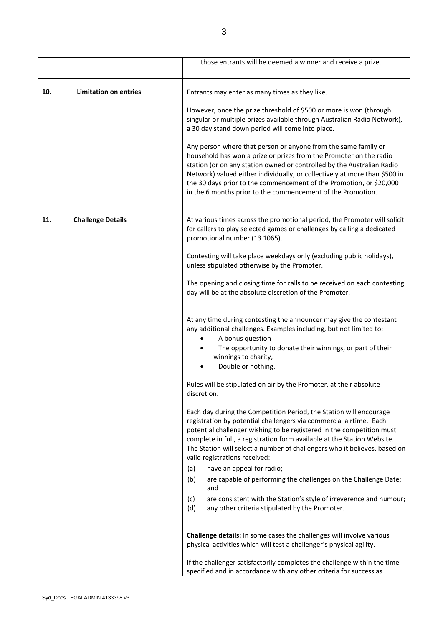|                                 |                              | those entrants will be deemed a winner and receive a prize.                                                                                                                                                                                                                                                                                                                                                                        |  |
|---------------------------------|------------------------------|------------------------------------------------------------------------------------------------------------------------------------------------------------------------------------------------------------------------------------------------------------------------------------------------------------------------------------------------------------------------------------------------------------------------------------|--|
| 10.                             | <b>Limitation on entries</b> | Entrants may enter as many times as they like.                                                                                                                                                                                                                                                                                                                                                                                     |  |
|                                 |                              | However, once the prize threshold of \$500 or more is won (through<br>singular or multiple prizes available through Australian Radio Network),<br>a 30 day stand down period will come into place.                                                                                                                                                                                                                                 |  |
|                                 |                              | Any person where that person or anyone from the same family or<br>household has won a prize or prizes from the Promoter on the radio<br>station (or on any station owned or controlled by the Australian Radio<br>Network) valued either individually, or collectively at more than \$500 in<br>the 30 days prior to the commencement of the Promotion, or \$20,000<br>in the 6 months prior to the commencement of the Promotion. |  |
| <b>Challenge Details</b><br>11. |                              | At various times across the promotional period, the Promoter will solicit<br>for callers to play selected games or challenges by calling a dedicated<br>promotional number (13 1065).                                                                                                                                                                                                                                              |  |
|                                 |                              | Contesting will take place weekdays only (excluding public holidays),<br>unless stipulated otherwise by the Promoter.                                                                                                                                                                                                                                                                                                              |  |
|                                 |                              | The opening and closing time for calls to be received on each contesting<br>day will be at the absolute discretion of the Promoter.                                                                                                                                                                                                                                                                                                |  |
|                                 |                              | At any time during contesting the announcer may give the contestant<br>any additional challenges. Examples including, but not limited to:<br>A bonus question<br>The opportunity to donate their winnings, or part of their<br>winnings to charity,<br>Double or nothing.                                                                                                                                                          |  |
|                                 |                              | Rules will be stipulated on air by the Promoter, at their absolute<br>discretion.                                                                                                                                                                                                                                                                                                                                                  |  |
|                                 |                              | Each day during the Competition Period, the Station will encourage<br>registration by potential challengers via commercial airtime. Each<br>potential challenger wishing to be registered in the competition must<br>complete in full, a registration form available at the Station Website.<br>The Station will select a number of challengers who it believes, based on<br>valid registrations received:                         |  |
|                                 |                              | have an appeal for radio;<br>(a)<br>(b)<br>are capable of performing the challenges on the Challenge Date;                                                                                                                                                                                                                                                                                                                         |  |
|                                 |                              | and                                                                                                                                                                                                                                                                                                                                                                                                                                |  |
|                                 |                              | (c)<br>are consistent with the Station's style of irreverence and humour;<br>(d)<br>any other criteria stipulated by the Promoter.                                                                                                                                                                                                                                                                                                 |  |
|                                 |                              | Challenge details: In some cases the challenges will involve various<br>physical activities which will test a challenger's physical agility.                                                                                                                                                                                                                                                                                       |  |
|                                 |                              | If the challenger satisfactorily completes the challenge within the time<br>specified and in accordance with any other criteria for success as                                                                                                                                                                                                                                                                                     |  |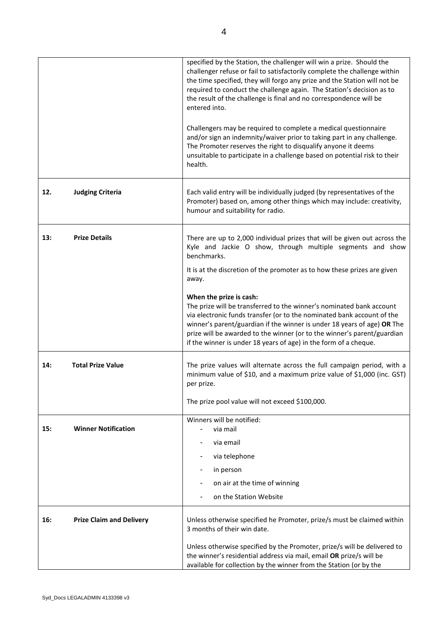|     |                                 | specified by the Station, the challenger will win a prize. Should the<br>challenger refuse or fail to satisfactorily complete the challenge within<br>the time specified, they will forgo any prize and the Station will not be<br>required to conduct the challenge again. The Station's decision as to<br>the result of the challenge is final and no correspondence will be<br>entered into.<br>Challengers may be required to complete a medical questionnaire<br>and/or sign an indemnity/waiver prior to taking part in any challenge.<br>The Promoter reserves the right to disqualify anyone it deems<br>unsuitable to participate in a challenge based on potential risk to their<br>health. |
|-----|---------------------------------|-------------------------------------------------------------------------------------------------------------------------------------------------------------------------------------------------------------------------------------------------------------------------------------------------------------------------------------------------------------------------------------------------------------------------------------------------------------------------------------------------------------------------------------------------------------------------------------------------------------------------------------------------------------------------------------------------------|
| 12. | <b>Judging Criteria</b>         | Each valid entry will be individually judged (by representatives of the<br>Promoter) based on, among other things which may include: creativity,<br>humour and suitability for radio.                                                                                                                                                                                                                                                                                                                                                                                                                                                                                                                 |
| 13: | <b>Prize Details</b>            | There are up to 2,000 individual prizes that will be given out across the<br>Kyle and Jackie O show, through multiple segments and show<br>benchmarks.<br>It is at the discretion of the promoter as to how these prizes are given<br>away.                                                                                                                                                                                                                                                                                                                                                                                                                                                           |
|     |                                 | When the prize is cash:<br>The prize will be transferred to the winner's nominated bank account<br>via electronic funds transfer (or to the nominated bank account of the<br>winner's parent/guardian if the winner is under 18 years of age) OR The<br>prize will be awarded to the winner (or to the winner's parent/guardian<br>if the winner is under 18 years of age) in the form of a cheque.                                                                                                                                                                                                                                                                                                   |
| 14: | <b>Total Prize Value</b>        | The prize values will alternate across the full campaign period, with a<br>minimum value of \$10, and a maximum prize value of \$1,000 (inc. GST)<br>per prize.                                                                                                                                                                                                                                                                                                                                                                                                                                                                                                                                       |
|     |                                 | The prize pool value will not exceed \$100,000.                                                                                                                                                                                                                                                                                                                                                                                                                                                                                                                                                                                                                                                       |
| 15: | <b>Winner Notification</b>      | Winners will be notified:<br>via mail                                                                                                                                                                                                                                                                                                                                                                                                                                                                                                                                                                                                                                                                 |
|     |                                 | via email                                                                                                                                                                                                                                                                                                                                                                                                                                                                                                                                                                                                                                                                                             |
|     |                                 | via telephone                                                                                                                                                                                                                                                                                                                                                                                                                                                                                                                                                                                                                                                                                         |
|     |                                 | in person<br>on air at the time of winning                                                                                                                                                                                                                                                                                                                                                                                                                                                                                                                                                                                                                                                            |
|     |                                 | on the Station Website                                                                                                                                                                                                                                                                                                                                                                                                                                                                                                                                                                                                                                                                                |
| 16: | <b>Prize Claim and Delivery</b> | Unless otherwise specified he Promoter, prize/s must be claimed within<br>3 months of their win date.<br>Unless otherwise specified by the Promoter, prize/s will be delivered to                                                                                                                                                                                                                                                                                                                                                                                                                                                                                                                     |
|     |                                 | the winner's residential address via mail, email OR prize/s will be<br>available for collection by the winner from the Station (or by the                                                                                                                                                                                                                                                                                                                                                                                                                                                                                                                                                             |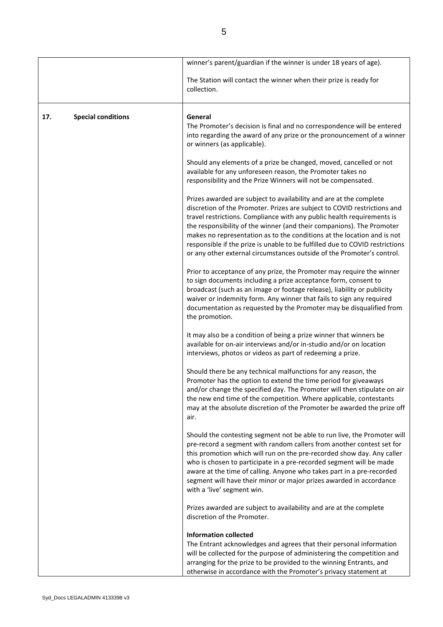|     |                           | winner's parent/guardian if the winner is under 18 years of age).                                                                                                                                                                                                                                                                                                                                                                                                                                                                      |
|-----|---------------------------|----------------------------------------------------------------------------------------------------------------------------------------------------------------------------------------------------------------------------------------------------------------------------------------------------------------------------------------------------------------------------------------------------------------------------------------------------------------------------------------------------------------------------------------|
|     |                           | The Station will contact the winner when their prize is ready for<br>collection.                                                                                                                                                                                                                                                                                                                                                                                                                                                       |
|     |                           |                                                                                                                                                                                                                                                                                                                                                                                                                                                                                                                                        |
| 17. | <b>Special conditions</b> | General<br>The Promoter's decision is final and no correspondence will be entered<br>into regarding the award of any prize or the pronouncement of a winner<br>or winners (as applicable).                                                                                                                                                                                                                                                                                                                                             |
|     |                           | Should any elements of a prize be changed, moved, cancelled or not<br>available for any unforeseen reason, the Promoter takes no<br>responsibility and the Prize Winners will not be compensated.                                                                                                                                                                                                                                                                                                                                      |
|     |                           | Prizes awarded are subject to availability and are at the complete<br>discretion of the Promoter. Prizes are subject to COVID restrictions and<br>travel restrictions. Compliance with any public health requirements is<br>the responsibility of the winner (and their companions). The Promoter<br>makes no representation as to the conditions at the location and is not<br>responsible if the prize is unable to be fulfilled due to COVID restrictions<br>or any other external circumstances outside of the Promoter's control. |
|     |                           | Prior to acceptance of any prize, the Promoter may require the winner<br>to sign documents including a prize acceptance form, consent to<br>broadcast (such as an image or footage release), liability or publicity<br>waiver or indemnity form. Any winner that fails to sign any required<br>documentation as requested by the Promoter may be disqualified from<br>the promotion.                                                                                                                                                   |
|     |                           | It may also be a condition of being a prize winner that winners be<br>available for on-air interviews and/or in-studio and/or on location<br>interviews, photos or videos as part of redeeming a prize.                                                                                                                                                                                                                                                                                                                                |
|     |                           | Should there be any technical malfunctions for any reason, the<br>Promoter has the option to extend the time period for giveaways<br>and/or change the specified day. The Promoter will then stipulate on air<br>the new end time of the competition. Where applicable, contestants<br>may at the absolute discretion of the Promoter be awarded the prize off<br>air.                                                                                                                                                                 |
|     |                           | Should the contesting segment not be able to run live, the Promoter will<br>pre-record a segment with random callers from another contest set for<br>this promotion which will run on the pre-recorded show day. Any caller<br>who is chosen to participate in a pre-recorded segment will be made<br>aware at the time of calling. Anyone who takes part in a pre-recorded<br>segment will have their minor or major prizes awarded in accordance<br>with a 'live' segment win.                                                       |
|     |                           | Prizes awarded are subject to availability and are at the complete<br>discretion of the Promoter.                                                                                                                                                                                                                                                                                                                                                                                                                                      |
|     |                           | <b>Information collected</b><br>The Entrant acknowledges and agrees that their personal information<br>will be collected for the purpose of administering the competition and<br>arranging for the prize to be provided to the winning Entrants, and<br>otherwise in accordance with the Promoter's privacy statement at                                                                                                                                                                                                               |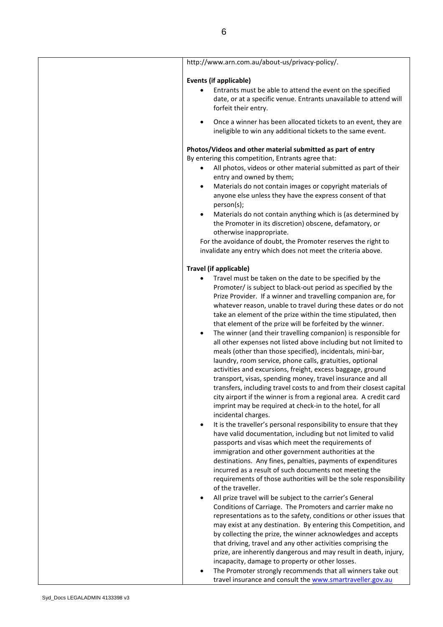| http://www.arn.com.au/about-us/privacy-policy/.                                                                                                                                                                                                                                                                                                                                                                                                                                                                       |
|-----------------------------------------------------------------------------------------------------------------------------------------------------------------------------------------------------------------------------------------------------------------------------------------------------------------------------------------------------------------------------------------------------------------------------------------------------------------------------------------------------------------------|
| <b>Events (if applicable)</b>                                                                                                                                                                                                                                                                                                                                                                                                                                                                                         |
| Entrants must be able to attend the event on the specified<br>date, or at a specific venue. Entrants unavailable to attend will<br>forfeit their entry.                                                                                                                                                                                                                                                                                                                                                               |
| Once a winner has been allocated tickets to an event, they are<br>ineligible to win any additional tickets to the same event.                                                                                                                                                                                                                                                                                                                                                                                         |
| Photos/Videos and other material submitted as part of entry<br>By entering this competition, Entrants agree that:<br>All photos, videos or other material submitted as part of their<br>entry and owned by them;<br>Materials do not contain images or copyright materials of<br>$\bullet$<br>anyone else unless they have the express consent of that<br>person(s);                                                                                                                                                  |
| Materials do not contain anything which is (as determined by<br>$\bullet$<br>the Promoter in its discretion) obscene, defamatory, or<br>otherwise inappropriate.<br>For the avoidance of doubt, the Promoter reserves the right to<br>invalidate any entry which does not meet the criteria above.                                                                                                                                                                                                                    |
|                                                                                                                                                                                                                                                                                                                                                                                                                                                                                                                       |
| <b>Travel (if applicable)</b><br>Travel must be taken on the date to be specified by the<br>Promoter/ is subject to black-out period as specified by the<br>Prize Provider. If a winner and travelling companion are, for<br>whatever reason, unable to travel during these dates or do not                                                                                                                                                                                                                           |
| take an element of the prize within the time stipulated, then<br>that element of the prize will be forfeited by the winner.<br>The winner (and their travelling companion) is responsible for<br>$\bullet$<br>all other expenses not listed above including but not limited to<br>meals (other than those specified), incidentals, mini-bar,<br>laundry, room service, phone calls, gratuities, optional                                                                                                              |
| activities and excursions, freight, excess baggage, ground<br>transport, visas, spending money, travel insurance and all<br>transfers, including travel costs to and from their closest capital<br>city airport if the winner is from a regional area. A credit card<br>imprint may be required at check-in to the hotel, for all<br>incidental charges.                                                                                                                                                              |
| It is the traveller's personal responsibility to ensure that they<br>$\bullet$<br>have valid documentation, including but not limited to valid<br>passports and visas which meet the requirements of<br>immigration and other government authorities at the<br>destinations. Any fines, penalties, payments of expenditures<br>incurred as a result of such documents not meeting the<br>requirements of those authorities will be the sole responsibility<br>of the traveller.                                       |
| All prize travel will be subject to the carrier's General<br>Conditions of Carriage. The Promoters and carrier make no<br>representations as to the safety, conditions or other issues that<br>may exist at any destination. By entering this Competition, and<br>by collecting the prize, the winner acknowledges and accepts<br>that driving, travel and any other activities comprising the<br>prize, are inherently dangerous and may result in death, injury,<br>incapacity, damage to property or other losses. |
| The Promoter strongly recommends that all winners take out<br>travel insurance and consult the www.smartraveller.gov.au                                                                                                                                                                                                                                                                                                                                                                                               |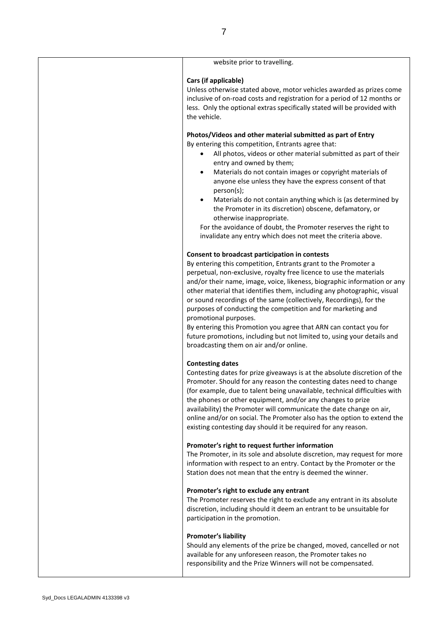| website prior to travelling.                                                                                                                                                                                                                                                                                                                                                                                                                                                                                                                                                                                                                                                                              |
|-----------------------------------------------------------------------------------------------------------------------------------------------------------------------------------------------------------------------------------------------------------------------------------------------------------------------------------------------------------------------------------------------------------------------------------------------------------------------------------------------------------------------------------------------------------------------------------------------------------------------------------------------------------------------------------------------------------|
| Cars (if applicable)<br>Unless otherwise stated above, motor vehicles awarded as prizes come<br>inclusive of on-road costs and registration for a period of 12 months or<br>less. Only the optional extras specifically stated will be provided with<br>the vehicle.                                                                                                                                                                                                                                                                                                                                                                                                                                      |
| Photos/Videos and other material submitted as part of Entry<br>By entering this competition, Entrants agree that:<br>All photos, videos or other material submitted as part of their<br>entry and owned by them;<br>Materials do not contain images or copyright materials of<br>$\bullet$<br>anyone else unless they have the express consent of that<br>person(s);<br>Materials do not contain anything which is (as determined by<br>$\bullet$<br>the Promoter in its discretion) obscene, defamatory, or<br>otherwise inappropriate.<br>For the avoidance of doubt, the Promoter reserves the right to<br>invalidate any entry which does not meet the criteria above.                                |
| Consent to broadcast participation in contests<br>By entering this competition, Entrants grant to the Promoter a<br>perpetual, non-exclusive, royalty free licence to use the materials<br>and/or their name, image, voice, likeness, biographic information or any<br>other material that identifies them, including any photographic, visual<br>or sound recordings of the same (collectively, Recordings), for the<br>purposes of conducting the competition and for marketing and<br>promotional purposes.<br>By entering this Promotion you agree that ARN can contact you for<br>future promotions, including but not limited to, using your details and<br>broadcasting them on air and/or online. |
| <b>Contesting dates</b><br>Contesting dates for prize giveaways is at the absolute discretion of the<br>Promoter. Should for any reason the contesting dates need to change<br>(for example, due to talent being unavailable, technical difficulties with<br>the phones or other equipment, and/or any changes to prize<br>availability) the Promoter will communicate the date change on air,<br>online and/or on social. The Promoter also has the option to extend the<br>existing contesting day should it be required for any reason.                                                                                                                                                                |
| Promoter's right to request further information<br>The Promoter, in its sole and absolute discretion, may request for more<br>information with respect to an entry. Contact by the Promoter or the<br>Station does not mean that the entry is deemed the winner.                                                                                                                                                                                                                                                                                                                                                                                                                                          |
| Promoter's right to exclude any entrant<br>The Promoter reserves the right to exclude any entrant in its absolute<br>discretion, including should it deem an entrant to be unsuitable for<br>participation in the promotion.                                                                                                                                                                                                                                                                                                                                                                                                                                                                              |
| <b>Promoter's liability</b><br>Should any elements of the prize be changed, moved, cancelled or not<br>available for any unforeseen reason, the Promoter takes no<br>responsibility and the Prize Winners will not be compensated.                                                                                                                                                                                                                                                                                                                                                                                                                                                                        |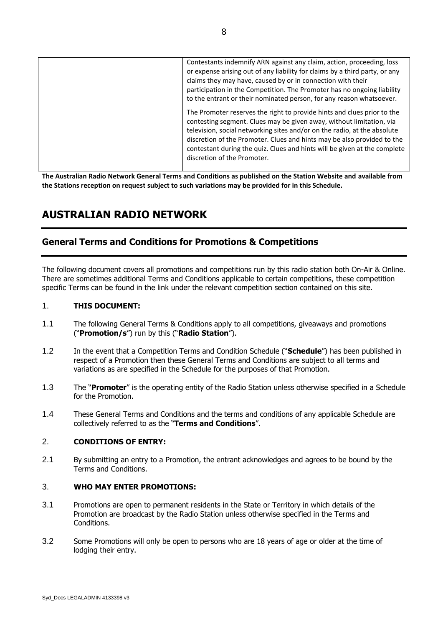| Contestants indemnify ARN against any claim, action, proceeding, loss<br>or expense arising out of any liability for claims by a third party, or any<br>claims they may have, caused by or in connection with their<br>participation in the Competition. The Promoter has no ongoing liability<br>to the entrant or their nominated person, for any reason whatsoever.                                             |
|--------------------------------------------------------------------------------------------------------------------------------------------------------------------------------------------------------------------------------------------------------------------------------------------------------------------------------------------------------------------------------------------------------------------|
| The Promoter reserves the right to provide hints and clues prior to the<br>contesting segment. Clues may be given away, without limitation, via<br>television, social networking sites and/or on the radio, at the absolute<br>discretion of the Promoter. Clues and hints may be also provided to the<br>contestant during the quiz. Clues and hints will be given at the complete<br>discretion of the Promoter. |

**The Australian Radio Network General Terms and Conditions as published on the Station Website and available from the Stations reception on request subject to such variations may be provided for in this Schedule.**

# **AUSTRALIAN RADIO NETWORK**

# **General Terms and Conditions for Promotions & Competitions**

The following document covers all promotions and competitions run by this radio station both On-Air & Online. There are sometimes additional Terms and Conditions applicable to certain competitions, these competition specific Terms can be found in the link under the relevant competition section contained on this site.

#### 1. **THIS DOCUMENT:**

- 1.1 The following General Terms & Conditions apply to all competitions, giveaways and promotions ("**Promotion/s**") run by this ("**Radio Station**").
- 1.2 In the event that a Competition Terms and Condition Schedule ("**Schedule**") has been published in respect of a Promotion then these General Terms and Conditions are subject to all terms and variations as are specified in the Schedule for the purposes of that Promotion.
- 1.3 The "**Promoter**" is the operating entity of the Radio Station unless otherwise specified in a Schedule for the Promotion.
- 1.4 These General Terms and Conditions and the terms and conditions of any applicable Schedule are collectively referred to as the "**Terms and Conditions**".

#### 2. **CONDITIONS OF ENTRY:**

2.1 By submitting an entry to a Promotion, the entrant acknowledges and agrees to be bound by the Terms and Conditions.

#### 3. **WHO MAY ENTER PROMOTIONS:**

- 3.1 Promotions are open to permanent residents in the State or Territory in which details of the Promotion are broadcast by the Radio Station unless otherwise specified in the Terms and Conditions.
- 3.2 Some Promotions will only be open to persons who are 18 years of age or older at the time of lodging their entry.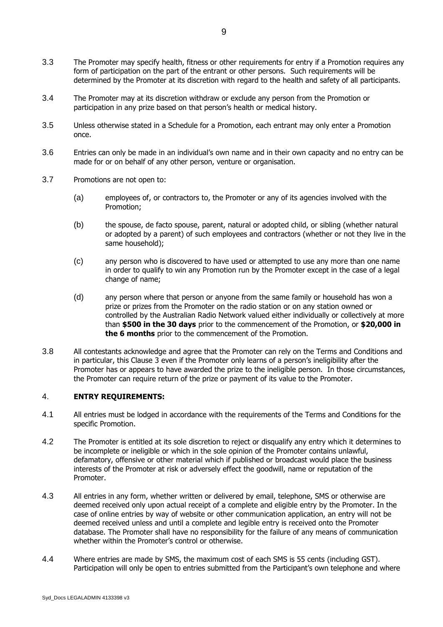- 3.3 The Promoter may specify health, fitness or other requirements for entry if a Promotion requires any form of participation on the part of the entrant or other persons. Such requirements will be determined by the Promoter at its discretion with regard to the health and safety of all participants.
- 3.4 The Promoter may at its discretion withdraw or exclude any person from the Promotion or participation in any prize based on that person's health or medical history.
- 3.5 Unless otherwise stated in a Schedule for a Promotion, each entrant may only enter a Promotion once.
- 3.6 Entries can only be made in an individual's own name and in their own capacity and no entry can be made for or on behalf of any other person, venture or organisation.
- 3.7 Promotions are not open to:
	- (a) employees of, or contractors to, the Promoter or any of its agencies involved with the Promotion;
	- (b) the spouse, de facto spouse, parent, natural or adopted child, or sibling (whether natural or adopted by a parent) of such employees and contractors (whether or not they live in the same household);
	- (c) any person who is discovered to have used or attempted to use any more than one name in order to qualify to win any Promotion run by the Promoter except in the case of a legal change of name;
	- (d) any person where that person or anyone from the same family or household has won a prize or prizes from the Promoter on the radio station or on any station owned or controlled by the Australian Radio Network valued either individually or collectively at more than **\$500 in the 30 days** prior to the commencement of the Promotion, or **\$20,000 in the 6 months** prior to the commencement of the Promotion.
- 3.8 All contestants acknowledge and agree that the Promoter can rely on the Terms and Conditions and in particular, this Clause 3 even if the Promoter only learns of a person's ineligibility after the Promoter has or appears to have awarded the prize to the ineligible person. In those circumstances, the Promoter can require return of the prize or payment of its value to the Promoter.

## 4. **ENTRY REQUIREMENTS:**

- 4.1 All entries must be lodged in accordance with the requirements of the Terms and Conditions for the specific Promotion.
- 4.2 The Promoter is entitled at its sole discretion to reject or disqualify any entry which it determines to be incomplete or ineligible or which in the sole opinion of the Promoter contains unlawful, defamatory, offensive or other material which if published or broadcast would place the business interests of the Promoter at risk or adversely effect the goodwill, name or reputation of the Promoter.
- 4.3 All entries in any form, whether written or delivered by email, telephone, SMS or otherwise are deemed received only upon actual receipt of a complete and eligible entry by the Promoter. In the case of online entries by way of website or other communication application, an entry will not be deemed received unless and until a complete and legible entry is received onto the Promoter database. The Promoter shall have no responsibility for the failure of any means of communication whether within the Promoter's control or otherwise.
- 4.4 Where entries are made by SMS, the maximum cost of each SMS is 55 cents (including GST). Participation will only be open to entries submitted from the Participant's own telephone and where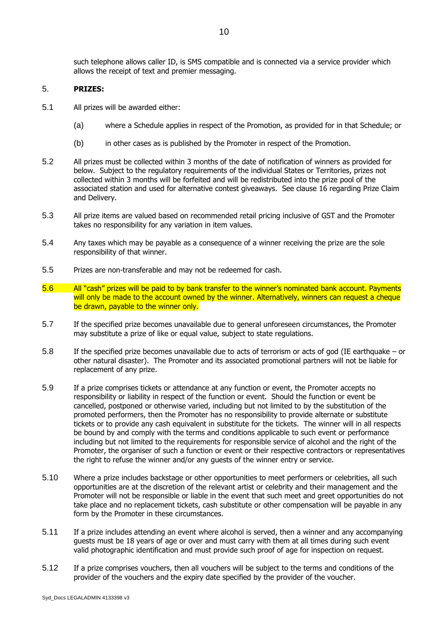such telephone allows caller ID, is SMS compatible and is connected via a service provider which allows the receipt of text and premier messaging.

#### 5. **PRIZES:**

- 5.1 All prizes will be awarded either:
	- (a) where a Schedule applies in respect of the Promotion, as provided for in that Schedule; or
	- (b) in other cases as is published by the Promoter in respect of the Promotion.
- 5.2 All prizes must be collected within 3 months of the date of notification of winners as provided for below. Subject to the regulatory requirements of the individual States or Territories, prizes not collected within 3 months will be forfeited and will be redistributed into the prize pool of the associated station and used for alternative contest giveaways. See clause 16 regarding Prize Claim and Delivery.
- 5.3 All prize items are valued based on recommended retail pricing inclusive of GST and the Promoter takes no responsibility for any variation in item values.
- 5.4 Any taxes which may be payable as a consequence of a winner receiving the prize are the sole responsibility of that winner.
- 5.5 Prizes are non-transferable and may not be redeemed for cash.
- 5.6 All "cash" prizes will be paid to by bank transfer to the winner's nominated bank account. Payments will only be made to the account owned by the winner. Alternatively, winners can request a cheque be drawn, payable to the winner only.
- 5.7 If the specified prize becomes unavailable due to general unforeseen circumstances, the Promoter may substitute a prize of like or equal value, subject to state regulations.
- 5.8 If the specified prize becomes unavailable due to acts of terrorism or acts of god (IE earthquake or other natural disaster). The Promoter and its associated promotional partners will not be liable for replacement of any prize.
- 5.9 If a prize comprises tickets or attendance at any function or event, the Promoter accepts no responsibility or liability in respect of the function or event. Should the function or event be cancelled, postponed or otherwise varied, including but not limited to by the substitution of the promoted performers, then the Promoter has no responsibility to provide alternate or substitute tickets or to provide any cash equivalent in substitute for the tickets. The winner will in all respects be bound by and comply with the terms and conditions applicable to such event or performance including but not limited to the requirements for responsible service of alcohol and the right of the Promoter, the organiser of such a function or event or their respective contractors or representatives the right to refuse the winner and/or any guests of the winner entry or service.
- 5.10 Where a prize includes backstage or other opportunities to meet performers or celebrities, all such opportunities are at the discretion of the relevant artist or celebrity and their management and the Promoter will not be responsible or liable in the event that such meet and greet opportunities do not take place and no replacement tickets, cash substitute or other compensation will be payable in any form by the Promoter in these circumstances.
- 5.11 If a prize includes attending an event where alcohol is served, then a winner and any accompanying guests must be 18 years of age or over and must carry with them at all times during such event valid photographic identification and must provide such proof of age for inspection on request.
- 5.12 If a prize comprises vouchers, then all vouchers will be subject to the terms and conditions of the provider of the vouchers and the expiry date specified by the provider of the voucher.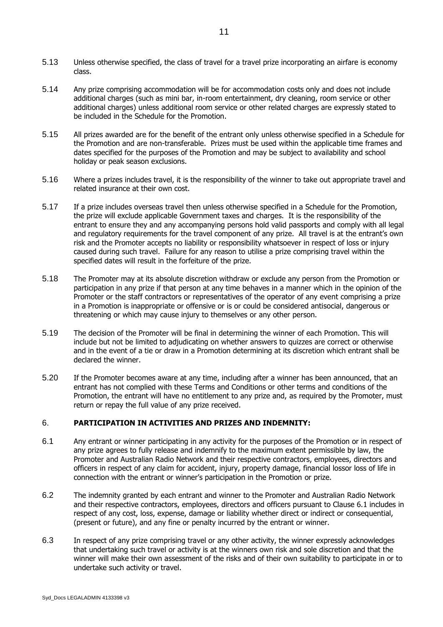- 5.13 Unless otherwise specified, the class of travel for a travel prize incorporating an airfare is economy class.
- 5.14 Any prize comprising accommodation will be for accommodation costs only and does not include additional charges (such as mini bar, in-room entertainment, dry cleaning, room service or other additional charges) unless additional room service or other related charges are expressly stated to be included in the Schedule for the Promotion.
- 5.15 All prizes awarded are for the benefit of the entrant only unless otherwise specified in a Schedule for the Promotion and are non-transferable. Prizes must be used within the applicable time frames and dates specified for the purposes of the Promotion and may be subject to availability and school holiday or peak season exclusions.
- 5.16 Where a prizes includes travel, it is the responsibility of the winner to take out appropriate travel and related insurance at their own cost.
- 5.17 If a prize includes overseas travel then unless otherwise specified in a Schedule for the Promotion, the prize will exclude applicable Government taxes and charges. It is the responsibility of the entrant to ensure they and any accompanying persons hold valid passports and comply with all legal and regulatory requirements for the travel component of any prize. All travel is at the entrant's own risk and the Promoter accepts no liability or responsibility whatsoever in respect of loss or injury caused during such travel. Failure for any reason to utilise a prize comprising travel within the specified dates will result in the forfeiture of the prize.
- 5.18 The Promoter may at its absolute discretion withdraw or exclude any person from the Promotion or participation in any prize if that person at any time behaves in a manner which in the opinion of the Promoter or the staff contractors or representatives of the operator of any event comprising a prize in a Promotion is inappropriate or offensive or is or could be considered antisocial, dangerous or threatening or which may cause injury to themselves or any other person.
- 5.19 The decision of the Promoter will be final in determining the winner of each Promotion. This will include but not be limited to adjudicating on whether answers to quizzes are correct or otherwise and in the event of a tie or draw in a Promotion determining at its discretion which entrant shall be declared the winner.
- 5.20 If the Promoter becomes aware at any time, including after a winner has been announced, that an entrant has not complied with these Terms and Conditions or other terms and conditions of the Promotion, the entrant will have no entitlement to any prize and, as required by the Promoter, must return or repay the full value of any prize received.

#### 6. **PARTICIPATION IN ACTIVITIES AND PRIZES AND INDEMNITY:**

- <span id="page-10-0"></span>6.1 Any entrant or winner participating in any activity for the purposes of the Promotion or in respect of any prize agrees to fully release and indemnify to the maximum extent permissible by law, the Promoter and Australian Radio Network and their respective contractors, employees, directors and officers in respect of any claim for accident, injury, property damage, financial lossor loss of life in connection with the entrant or winner's participation in the Promotion or prize.
- 6.2 The indemnity granted by each entrant and winner to the Promoter and Australian Radio Network and their respective contractors, employees, directors and officers pursuant to Clause 6.1 includes in respect of any cost, loss, expense, damage or liability whether direct or indirect or consequential, (present or future), and any fine or penalty incurred by the entrant or winner.
- 6.3 In respect of any prize comprising travel or any other activity, the winner expressly acknowledges that undertaking such travel or activity is at the winners own risk and sole discretion and that the winner will make their own assessment of the risks and of their own suitability to participate in or to undertake such activity or travel.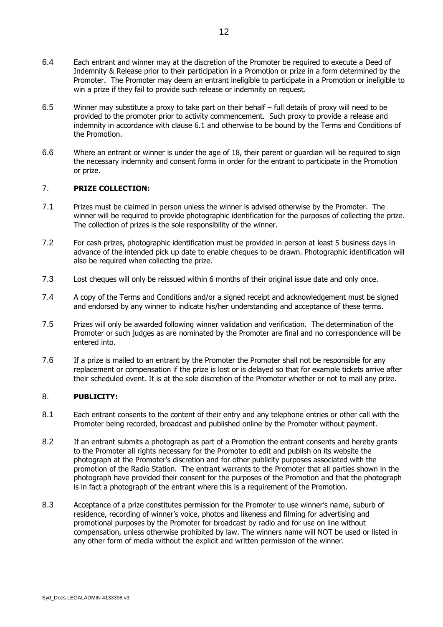- 6.4 Each entrant and winner may at the discretion of the Promoter be required to execute a Deed of Indemnity & Release prior to their participation in a Promotion or prize in a form determined by the Promoter. The Promoter may deem an entrant ineligible to participate in a Promotion or ineligible to win a prize if they fail to provide such release or indemnity on request.
- 6.5 Winner may substitute a proxy to take part on their behalf full details of proxy will need to be provided to the promoter prior to activity commencement. Such proxy to provide a release and indemnity in accordance with clause [6.1](#page-10-0) and otherwise to be bound by the Terms and Conditions of the Promotion.
- 6.6 Where an entrant or winner is under the age of 18, their parent or guardian will be required to sign the necessary indemnity and consent forms in order for the entrant to participate in the Promotion or prize.

#### 7. **PRIZE COLLECTION:**

- 7.1 Prizes must be claimed in person unless the winner is advised otherwise by the Promoter. The winner will be required to provide photographic identification for the purposes of collecting the prize. The collection of prizes is the sole responsibility of the winner.
- 7.2 For cash prizes, photographic identification must be provided in person at least 5 business days in advance of the intended pick up date to enable cheques to be drawn. Photographic identification will also be required when collecting the prize.
- 7.3 Lost cheques will only be reissued within 6 months of their original issue date and only once.
- 7.4 A copy of the Terms and Conditions and/or a signed receipt and acknowledgement must be signed and endorsed by any winner to indicate his/her understanding and acceptance of these terms.
- 7.5 Prizes will only be awarded following winner validation and verification. The determination of the Promoter or such judges as are nominated by the Promoter are final and no correspondence will be entered into.
- 7.6 If a prize is mailed to an entrant by the Promoter the Promoter shall not be responsible for any replacement or compensation if the prize is lost or is delayed so that for example tickets arrive after their scheduled event. It is at the sole discretion of the Promoter whether or not to mail any prize.

## 8. **PUBLICITY:**

- 8.1 Each entrant consents to the content of their entry and any telephone entries or other call with the Promoter being recorded, broadcast and published online by the Promoter without payment.
- 8.2 If an entrant submits a photograph as part of a Promotion the entrant consents and hereby grants to the Promoter all rights necessary for the Promoter to edit and publish on its website the photograph at the Promoter's discretion and for other publicity purposes associated with the promotion of the Radio Station. The entrant warrants to the Promoter that all parties shown in the photograph have provided their consent for the purposes of the Promotion and that the photograph is in fact a photograph of the entrant where this is a requirement of the Promotion.
- 8.3 Acceptance of a prize constitutes permission for the Promoter to use winner's name, suburb of residence, recording of winner's voice, photos and likeness and filming for advertising and promotional purposes by the Promoter for broadcast by radio and for use on line without compensation, unless otherwise prohibited by law. The winners name will NOT be used or listed in any other form of media without the explicit and written permission of the winner.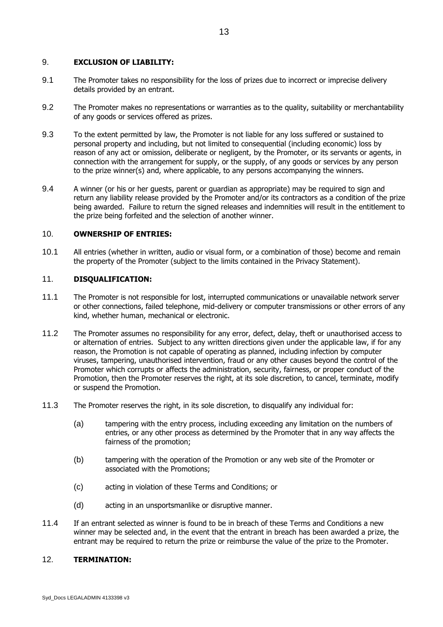#### 9. **EXCLUSION OF LIABILITY:**

- 9.1 The Promoter takes no responsibility for the loss of prizes due to incorrect or imprecise delivery details provided by an entrant.
- 9.2 The Promoter makes no representations or warranties as to the quality, suitability or merchantability of any goods or services offered as prizes.
- 9.3 To the extent permitted by law, the Promoter is not liable for any loss suffered or sustained to personal property and including, but not limited to consequential (including economic) loss by reason of any act or omission, deliberate or negligent, by the Promoter, or its servants or agents, in connection with the arrangement for supply, or the supply, of any goods or services by any person to the prize winner(s) and, where applicable, to any persons accompanying the winners.
- 9.4 A winner (or his or her guests, parent or guardian as appropriate) may be required to sign and return any liability release provided by the Promoter and/or its contractors as a condition of the prize being awarded. Failure to return the signed releases and indemnities will result in the entitlement to the prize being forfeited and the selection of another winner.

#### 10. **OWNERSHIP OF ENTRIES:**

10.1 All entries (whether in written, audio or visual form, or a combination of those) become and remain the property of the Promoter (subject to the limits contained in the Privacy Statement).

#### 11. **DISQUALIFICATION:**

- 11.1 The Promoter is not responsible for lost, interrupted communications or unavailable network server or other connections, failed telephone, mid-delivery or computer transmissions or other errors of any kind, whether human, mechanical or electronic.
- 11.2 The Promoter assumes no responsibility for any error, defect, delay, theft or unauthorised access to or alternation of entries. Subject to any written directions given under the applicable law, if for any reason, the Promotion is not capable of operating as planned, including infection by computer viruses, tampering, unauthorised intervention, fraud or any other causes beyond the control of the Promoter which corrupts or affects the administration, security, fairness, or proper conduct of the Promotion, then the Promoter reserves the right, at its sole discretion, to cancel, terminate, modify or suspend the Promotion.
- 11.3 The Promoter reserves the right, in its sole discretion, to disqualify any individual for:
	- (a) tampering with the entry process, including exceeding any limitation on the numbers of entries, or any other process as determined by the Promoter that in any way affects the fairness of the promotion;
	- (b) tampering with the operation of the Promotion or any web site of the Promoter or associated with the Promotions;
	- (c) acting in violation of these Terms and Conditions; or
	- (d) acting in an unsportsmanlike or disruptive manner.
- 11.4 If an entrant selected as winner is found to be in breach of these Terms and Conditions a new winner may be selected and, in the event that the entrant in breach has been awarded a prize, the entrant may be required to return the prize or reimburse the value of the prize to the Promoter.

## 12. **TERMINATION:**